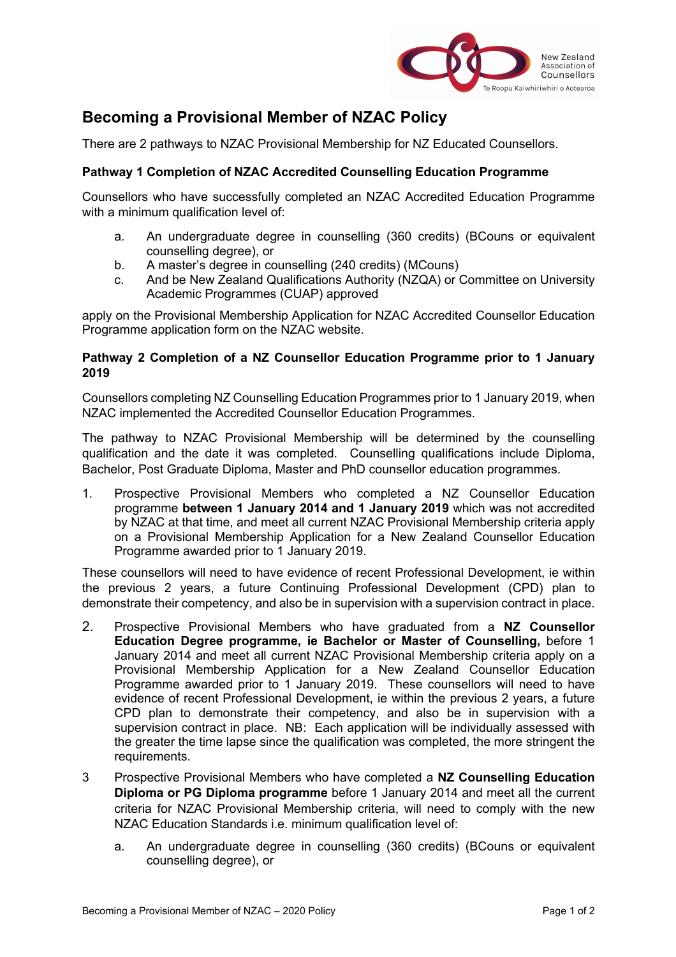

## **Becoming a Provisional Member of NZAC Policy**

There are 2 pathways to NZAC Provisional Membership for NZ Educated Counsellors.

## **Pathway 1 Completion of NZAC Accredited Counselling Education Programme**

Counsellors who have successfully completed an NZAC Accredited Education Programme with a minimum qualification level of:

- a. An undergraduate degree in counselling (360 credits) (BCouns or equivalent counselling degree), or
- b. A master's degree in counselling (240 credits) (MCouns)
- c. And be New Zealand Qualifications Authority (NZQA) or Committee on University Academic Programmes (CUAP) approved

apply on the Provisional Membership Application for NZAC Accredited Counsellor Education Programme application form on the NZAC website.

## **Pathway 2 Completion of a NZ Counsellor Education Programme prior to 1 January 2019**

Counsellors completing NZ Counselling Education Programmes prior to 1 January 2019, when NZAC implemented the Accredited Counsellor Education Programmes.

The pathway to NZAC Provisional Membership will be determined by the counselling qualification and the date it was completed. Counselling qualifications include Diploma, Bachelor, Post Graduate Diploma, Master and PhD counsellor education programmes.

1. Prospective Provisional Members who completed a NZ Counsellor Education programme **between 1 January 2014 and 1 January 2019** which was not accredited by NZAC at that time, and meet all current NZAC Provisional Membership criteria apply on a Provisional Membership Application for a New Zealand Counsellor Education Programme awarded prior to 1 January 2019.

These counsellors will need to have evidence of recent Professional Development, ie within the previous 2 years, a future Continuing Professional Development (CPD) plan to demonstrate their competency, and also be in supervision with a supervision contract in place.

- 2. Prospective Provisional Members who have graduated from a **NZ Counsellor Education Degree programme, ie Bachelor or Master of Counselling,** before 1 January 2014 and meet all current NZAC Provisional Membership criteria apply on a Provisional Membership Application for a New Zealand Counsellor Education Programme awarded prior to 1 January 2019. These counsellors will need to have evidence of recent Professional Development, ie within the previous 2 years, a future CPD plan to demonstrate their competency, and also be in supervision with a supervision contract in place. NB: Each application will be individually assessed with the greater the time lapse since the qualification was completed, the more stringent the requirements.
- 3 Prospective Provisional Members who have completed a **NZ Counselling Education Diploma or PG Diploma programme** before 1 January 2014 and meet all the current criteria for NZAC Provisional Membership criteria, will need to comply with the new NZAC Education Standards i.e. minimum qualification level of:
	- a. An undergraduate degree in counselling (360 credits) (BCouns or equivalent counselling degree), or